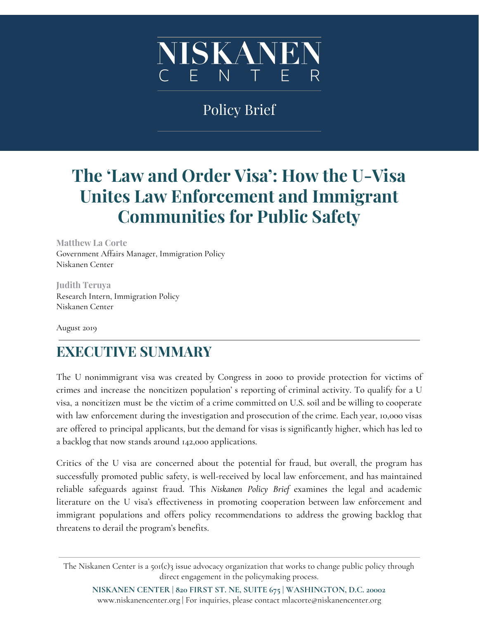

## Policy Brief

# **The 'Law and Order Visa': How the U-Visa Unites Law Enforcement and Immigrant Communities for Public Safety**

**Matthew La Corte** Government Affairs Manager, Immigration Policy Niskanen Center

**Judith Teruya** Research Intern, Immigration Policy Niskanen Center

August 2019

### **EXECUTIVE SUMMARY**

The U nonimmigrant visa was created by Congress in 2000 to provide protection for victims of crimes and increase the noncitizen population' s reporting of criminal activity. To qualify for a U visa, a noncitizen must be the victim of a crime committed on U.S. soil and be willing to cooperate with law enforcement during the investigation and prosecution of the crime. Each year, 10,000 visas are offered to principal applicants, but the demand for visas is significantly higher, which has led to a backlog that now stands around 142,000 applications.

Critics of the U visa are concerned about the potential for fraud, but overall, the program has successfully promoted public safety, is well-received by local law enforcement, and has maintained reliable safeguards against fraud. This *Niskanen Policy Brief* examines the legal and academic literature on the U visa's effectiveness in promoting cooperation between law enforcement and immigrant populations and offers policy recommendations to address the growing backlog that threatens to derail the program's benefits.

The Niskanen Center is a 501(c)3 issue advocacy organization that works to change public policy through direct engagement in the policymaking process.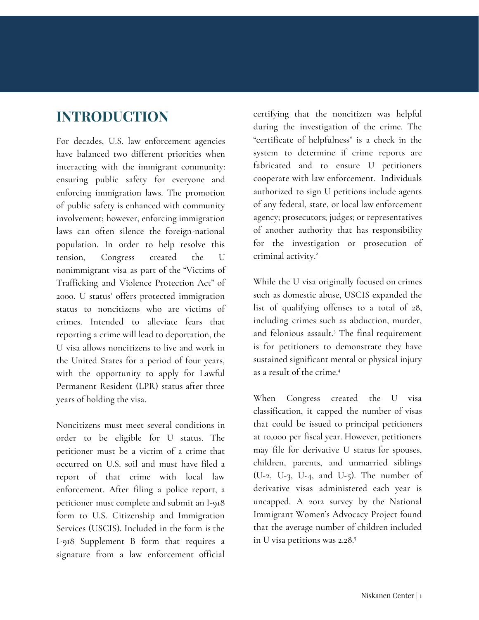### **INTRODUCTION**

For decades, U.S. law enforcement agencies have balanced two different priorities when interacting with the immigrant community: ensuring public safety for everyone and enforcing immigration laws. The promotion of public safety is enhanced with community involvement; however, enforcing immigration laws can often silence the foreign-national population. In order to help resolve this tension, Congress created the U nonimmigrant visa as part of the "Victims of Trafficking and Violence Protection Act" of 2000. U status <sup>1</sup> offers protected immigration status to noncitizens who are victims of crimes. Intended to alleviate fears that reporting a crime will lead to deportation, the U visa allows noncitizens to live and work in the United States for a period of four years, with the opportunity to apply for Lawful Permanent Resident (LPR) status after three years of holding the visa.

Noncitizens must meet several conditions in order to be eligible for U status. The petitioner must be a victim of a crime that occurred on U.S. soil and must have filed a report of that crime with local law enforcement. After filing a police report, a petitioner must complete and submit an I-918 form to U.S. Citizenship and Immigration Services (USCIS). Included in the form is the I-918 Supplement B form that requires a signature from a law enforcement official

certifying that the noncitizen was helpful during the investigation of the crime. The "certificate of helpfulness" is a check in the system to determine if crime reports are fabricated and to ensure U petitioners cooperate with law enforcement. Individuals authorized to sign U petitions include agents of any federal, state, or local law enforcement agency; prosecutors; judges; or representatives of another authority that has responsibility for the investigation or prosecution of criminal activity. 2

While the U visa originally focused on crimes such as domestic abuse, USCIS expanded the list of qualifying offenses to a total of 28, including crimes such as abduction, murder, and felonious assault. <sup>3</sup> The final requirement is for petitioners to demonstrate they have sustained significant mental or physical injury as a result of the crime. 4

When Congress created the U visa classification, it capped the number of visas that could be issued to principal petitioners at 10,000 per fiscal year. However, petitioners may file for derivative U status for spouses, children, parents, and unmarried siblings (U-2, U-3, U-4, and U-5). The number of derivative visas administered each year is uncapped. A 2012 survey by the National Immigrant Women's Advocacy Project found that the average number of children included in U visa petitions was 2.28. 5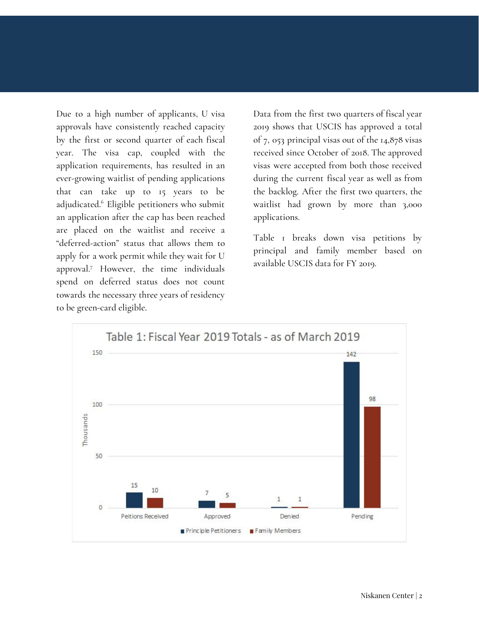Due to a high number of applicants, U visa approvals have consistently reached capacity by the first or second quarter of each fiscal year. The visa cap, coupled with the application requirements, has resulted in an ever-growing waitlist of pending applications that can take up to 15 years to be adjudicated. <sup>6</sup> Eligible petitioners who submit an application after the cap has been reached are placed on the waitlist and receive a "deferred-action" status that allows them to apply for a work permit while they wait for U approval. <sup>7</sup> However, the time individuals spend on deferred status does not count towards the necessary three years of residency to be green-card eligible.

Data from the first two quarters of fiscal year 2019 shows that USCIS has approved a total of 7, 053 principal visas out of the 14,878 visas received since October of 2018. The approved visas were accepted from both those received during the current fiscal year as well as from the backlog. After the first two quarters, the waitlist had grown by more than 3,000 applications.

Table 1 breaks down visa petitions by principal and family member based on available USCIS data for FY 2019.

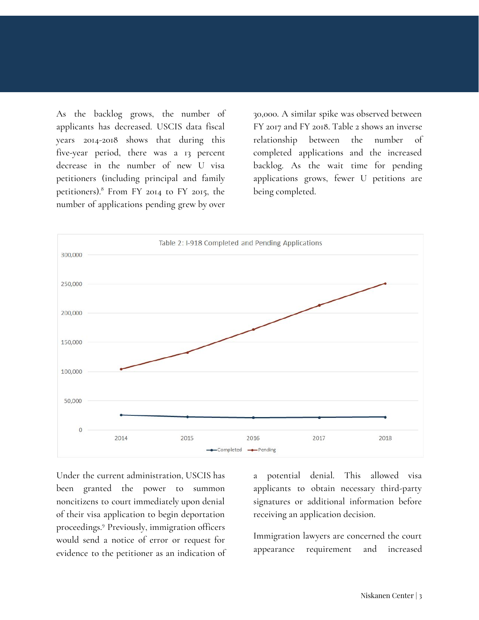As the backlog grows, the number of applicants has decreased. USCIS data fiscal years 2014-2018 shows that during this five-year period, there was a 13 percent decrease in the number of new U visa petitioners (including principal and family petitioners). <sup>8</sup> From FY 2014 to FY 2015, the number of applications pending grew by over

30,000. A similar spike was observed between FY 2017 and FY 2018. Table 2 shows an inverse relationship between the number of completed applications and the increased backlog. As the wait time for pending applications grows, fewer U petitions are being completed.



Under the current administration, USCIS has been granted the power to summon noncitizens to court immediately upon denial of their visa application to begin deportation proceedings. <sup>9</sup> Previously, immigration officers would send a notice of error or request for evidence to the petitioner as an indication of a potential denial. This allowed visa applicants to obtain necessary third-party signatures or additional information before receiving an application decision.

Immigration lawyers are concerned the court appearance requirement and increased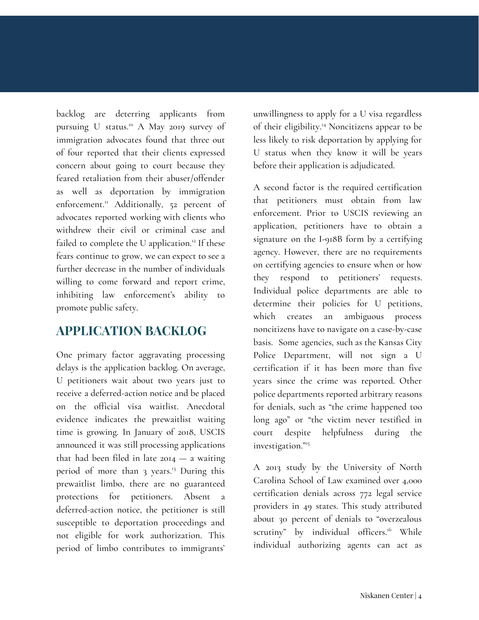backlog are deterring applicants from pursuing U status. <sup>10</sup> A May 2019 survey of immigration advocates found that three out of four reported that their clients expressed concern about going to court because they feared retaliation from their abuser/offender as well as deportation by immigration enforcement. <sup>11</sup> Additionally, 52 percent of advocates reported working with clients who withdrew their civil or criminal case and failed to complete the U application.<sup>12</sup> If these fears continue to grow, we can expect to see a further decrease in the number of individuals willing to come forward and report crime, inhibiting law enforcement's ability to promote public safety.

### **APPLICATION BACKLOG**

One primary factor aggravating processing delays is the application backlog. On average, U petitioners wait about two years just to receive a deferred-action notice and be placed on the official visa waitlist. Anecdotal evidence indicates the prewaitlist waiting time is growing. In January of 2018, USCIS announced it was still processing applications that had been filed in late  $2014 - a$  waiting period of more than 3 years. <sup>13</sup> During this prewaitlist limbo, there are no guaranteed protections for petitioners. Absent a deferred-action notice, the petitioner is still susceptible to deportation proceedings and not eligible for work authorization. This period of limbo contributes to immigrants'

unwillingness to apply for a U visa regardless of their eligibility. <sup>14</sup> Noncitizens appear to be less likely to risk deportation by applying for U status when they know it will be years before their application is adjudicated.

A second factor is the required certification that petitioners must obtain from law enforcement. Prior to USCIS reviewing an application, petitioners have to obtain a signature on the I-918B form by a certifying agency. However, there are no requirements on certifying agencies to ensure when or how they respond to petitioners' requests. Individual police departments are able to determine their policies for U petitions, which creates an ambiguous process noncitizens have to navigate on a case-by-case basis. Some agencies, such as the Kansas City Police Department, will not sign a U certification if it has been more than five years since the crime was reported. Other police departments reported arbitrary reasons for denials, such as "the crime happened too long ago" or "the victim never testified in court despite helpfulness during the investigation." 15

A 2013 study by the University of North Carolina School of Law examined over 4,000 certification denials across 772 legal service providers in 49 states. This study attributed about 30 percent of denials to "overzealous scrutiny" by individual officers. <sup>16</sup> While individual authorizing agents can act as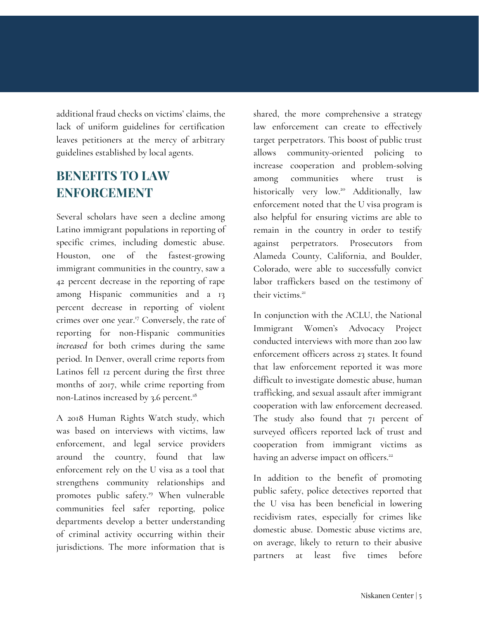additional fraud checks on victims' claims, the lack of uniform guidelines for certification leaves petitioners at the mercy of arbitrary guidelines established by local agents.

### **BENEFITS TO LAW ENFORCEMENT**

Several scholars have seen a decline among Latino immigrant populations in reporting of specific crimes, including domestic abuse. Houston, one of the fastest-growing immigrant communities in the country, saw a 42 percent decrease in the reporting of rape among Hispanic communities and a 13 percent decrease in reporting of violent crimes over one year. <sup>17</sup> Conversely, the rate of reporting for non-Hispanic communities *increased* for both crimes during the same period. In Denver, overall crime reports from Latinos fell 12 percent during the first three months of 2017, while crime reporting from non-Latinos increased by 3.6 percent. 18

A 2018 Human Rights Watch study, which was based on interviews with victims, law enforcement, and legal service providers around the country, found that law enforcement rely on the U visa as a tool that strengthens community relationships and promotes public safety. <sup>19</sup> When vulnerable communities feel safer reporting, police departments develop a better understanding of criminal activity occurring within their jurisdictions. The more information that is

shared, the more comprehensive a strategy law enforcement can create to effectively target perpetrators. This boost of public trust allows community-oriented policing to increase cooperation and problem-solving among communities where trust is historically very low. <sup>20</sup> Additionally, law enforcement noted that the U visa program is also helpful for ensuring victims are able to remain in the country in order to testify against perpetrators. Prosecutors from Alameda County, California, and Boulder, Colorado, were able to successfully convict labor traffickers based on the testimony of their victims. 21

In conjunction with the ACLU, the National Immigrant Women's Advocacy Project conducted interviews with more than 200 law enforcement officers across 23 states. It found that law enforcement reported it was more difficult to investigate domestic abuse, human trafficking, and sexual assault after immigrant cooperation with law enforcement decreased. The study also found that 71 percent of surveyed officers reported lack of trust and cooperation from immigrant victims as having an adverse impact on officers.<sup>22</sup>

In addition to the benefit of promoting public safety, police detectives reported that the U visa has been beneficial in lowering recidivism rates, especially for crimes like domestic abuse. Domestic abuse victims are, on average, likely to return to their abusive partners at least five times before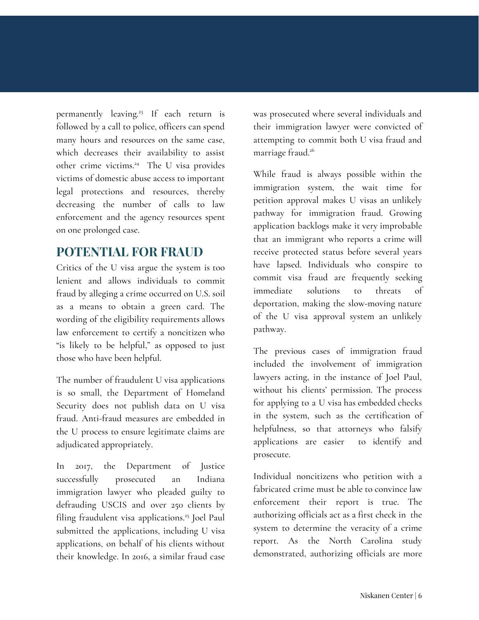permanently leaving. 23 If each return is followed by a call to police, officers can spend many hours and resources on the same case, which decreases their availability to assist other crime victims. <sup>24</sup> The U visa provides victims of domestic abuse access to important legal protections and resources, thereby decreasing the number of calls to law enforcement and the agency resources spent on one prolonged case.

#### **POTENTIAL FOR FRAUD**

Critics of the U visa argue the system is too lenient and allows individuals to commit fraud by alleging a crime occurred on U.S. soil as a means to obtain a green card. The wording of the eligibility requirements allows law enforcement to certify a noncitizen who "is likely to be helpful," as opposed to just those who have been helpful.

The number of fraudulent U visa applications is so small, the Department of Homeland Security does not publish data on U visa fraud. Anti-fraud measures are embedded in the U process to ensure legitimate claims are adjudicated appropriately.

In 2017, the Department of Justice successfully prosecuted an Indiana immigration lawyer who pleaded guilty to defrauding USCIS and over 250 clients by filing fraudulent visa applications.<sup>25</sup> Joel Paul submitted the applications, including U visa applications, on behalf of his clients without their knowledge. In 2016, a similar fraud case

was prosecuted where several individuals and their immigration lawyer were convicted of attempting to commit both U visa fraud and marriage fraud. 26

While fraud is always possible within the immigration system, the wait time for petition approval makes U visas an unlikely pathway for immigration fraud. Growing application backlogs make it very improbable that an immigrant who reports a crime will receive protected status before several years have lapsed. Individuals who conspire to commit visa fraud are frequently seeking immediate solutions to threats of deportation, making the slow-moving nature of the U visa approval system an unlikely pathway.

The previous cases of immigration fraud included the involvement of immigration lawyers acting, in the instance of Joel Paul, without his clients' permission. The process for applying to a U visa has embedded checks in the system, such as the certification of helpfulness, so that attorneys who falsify applications are easier to identify and prosecute.

Individual noncitizens who petition with a fabricated crime must be able to convince law enforcement their report is true. The authorizing officials act as a first check in the system to determine the veracity of a crime report. As the North Carolina study demonstrated, authorizing officials are more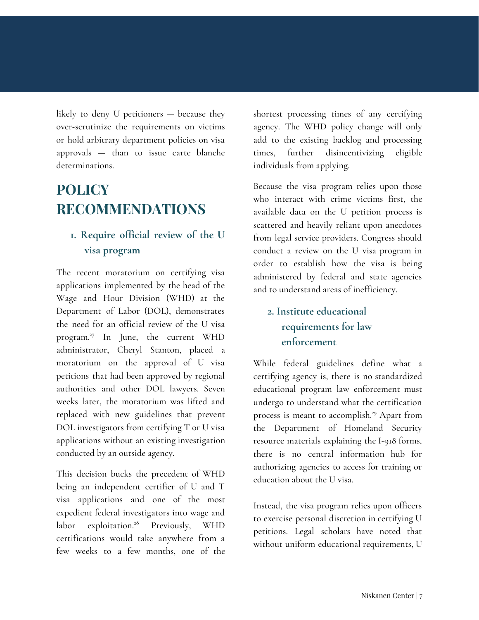likely to deny U petitioners — because they over-scrutinize the requirements on victims or hold arbitrary department policies on visa approvals — than to issue carte blanche determinations.

## **POLICY RECOMMENDATIONS**

#### **1. Require official review of the U visa program**

The recent moratorium on certifying visa applications implemented by the head of the Wage and Hour Division (WHD) at the Department of Labor (DOL), demonstrates the need for an official review of the U visa program. 27 In June, the current WHD administrator, Cheryl Stanton, placed a moratorium on the approval of U visa petitions that had been approved by regional authorities and other DOL lawyers. Seven weeks later, the moratorium was lifted and replaced with new guidelines that prevent DOL investigators from certifying T or U visa applications without an existing investigation conducted by an outside agency.

This decision bucks the precedent of WHD being an independent certifier of U and T visa applications and one of the most expedient federal investigators into wage and labor exploitation. <sup>28</sup> Previously, WHD certifications would take anywhere from a few weeks to a few months, one of the

shortest processing times of any certifying agency. The WHD policy change will only add to the existing backlog and processing times, further disincentivizing eligible individuals from applying.

Because the visa program relies upon those who interact with crime victims first, the available data on the U petition process is scattered and heavily reliant upon anecdotes from legal service providers. Congress should conduct a review on the U visa program in order to establish how the visa is being administered by federal and state agencies and to understand areas of inefficiency.

### **2. Institute educational requirements for law enforcement**

While federal guidelines define what a certifying agency is, there is no standardized educational program law enforcement must undergo to understand what the certification process is meant to accomplish.<sup>29</sup> Apart from the Department of Homeland Security resource materials explaining the I-918 forms, there is no central information hub for authorizing agencies to access for training or education about the U visa.

Instead, the visa program relies upon officers to exercise personal discretion in certifying U petitions. Legal scholars have noted that without uniform educational requirements, U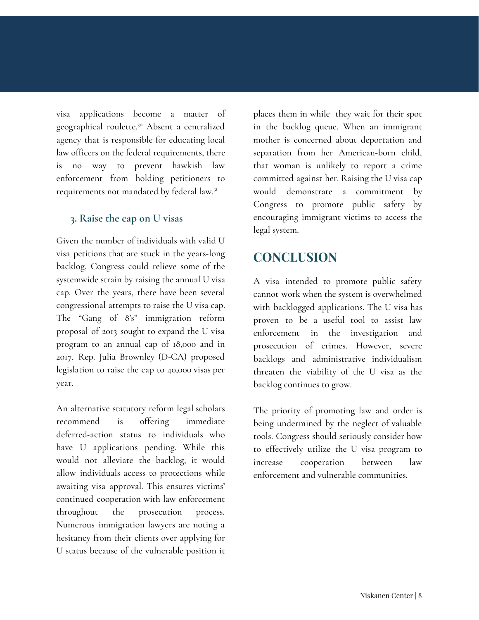visa applications become a matter of geographical roulette. <sup>30</sup> Absent a centralized agency that is responsible for educating local law officers on the federal requirements, there is no way to prevent hawkish law enforcement from holding petitioners to requirements not mandated by federal law.<sup>31</sup>

#### **3. Raise the cap on U visas**

Given the number of individuals with valid U visa petitions that are stuck in the years-long backlog, Congress could relieve some of the systemwide strain by raising the annual U visa cap. Over the years, there have been several congressional attempts to raise the U visa cap. The "Gang of 8's" immigration reform proposal of 2013 sought to expand the U visa program to an annual cap of 18,000 and in 2017, Rep. Julia Brownley (D-CA) proposed legislation to raise the cap to 40,000 visas per year.

An alternative statutory reform legal scholars recommend is offering immediate deferred-action status to individuals who have U applications pending. While this would not alleviate the backlog, it would allow individuals access to protections while awaiting visa approval. This ensures victims' continued cooperation with law enforcement throughout the prosecution process. Numerous immigration lawyers are noting a hesitancy from their clients over applying for U status because of the vulnerable position it places them in while they wait for their spot in the backlog queue. When an immigrant mother is concerned about deportation and separation from her American-born child, that woman is unlikely to report a crime committed against her. Raising the U visa cap would demonstrate a commitment by Congress to promote public safety by encouraging immigrant victims to access the legal system.

### **CONCLUSION**

A visa intended to promote public safety cannot work when the system is overwhelmed with backlogged applications. The U visa has proven to be a useful tool to assist law enforcement in the investigation and prosecution of crimes. However, severe backlogs and administrative individualism threaten the viability of the U visa as the backlog continues to grow.

The priority of promoting law and order is being undermined by the neglect of valuable tools. Congress should seriously consider how to effectively utilize the U visa program to increase cooperation between law enforcement and vulnerable communities.